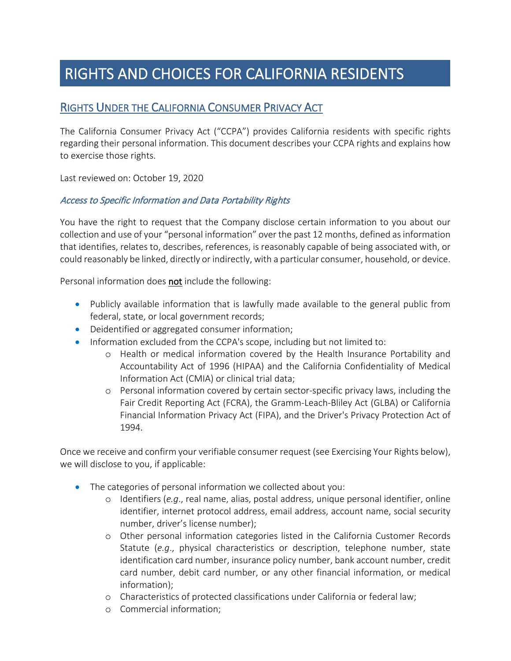# RIGHTS AND CHOICES FOR CALIFORNIA RESIDENTS

## RIGHTS UNDER THE CALIFORNIA CONSUMER PRIVACY ACT

The California Consumer Privacy Act ("CCPA") provides California residents with specific rights regarding their personal information. This document describes your CCPA rights and explains how to exercise those rights.

Last reviewed on: October 19, 2020

#### Access to Specific Information and Data Portability Rights

You have the right to request that the Company disclose certain information to you about our collection and use of your "personal information" over the past 12 months, defined as information that identifies, relates to, describes, references, is reasonably capable of being associated with, or could reasonably be linked, directly or indirectly, with a particular consumer, household, or device.

Personal information does **not** include the following:

- Publicly available information that is lawfully made available to the general public from federal, state, or local government records;
- Deidentified or aggregated consumer information;
- Information excluded from the CCPA's scope, including but not limited to:
	- o Health or medical information covered by the Health Insurance Portability and Accountability Act of 1996 (HIPAA) and the California Confidentiality of Medical Information Act (CMIA) or clinical trial data;
	- o Personal information covered by certain sector-specific privacy laws, including the Fair Credit Reporting Act (FCRA), the Gramm-Leach-Bliley Act (GLBA) or California Financial Information Privacy Act (FIPA), and the Driver's Privacy Protection Act of 1994.

Once we receive and confirm your verifiable consumer request (see Exercising Your Rights below), we will disclose to you, if applicable:

- The categories of personal information we collected about you:
	- o Identifiers (*e.g*., real name, alias, postal address, unique personal identifier, online identifier, internet protocol address, email address, account name, social security number, driver's license number);
	- o Other personal information categories listed in the California Customer Records Statute (*e.g*., physical characteristics or description, telephone number, state identification card number, insurance policy number, bank account number, credit card number, debit card number, or any other financial information, or medical information);
	- o Characteristics of protected classifications under California or federal law;
	- o Commercial information;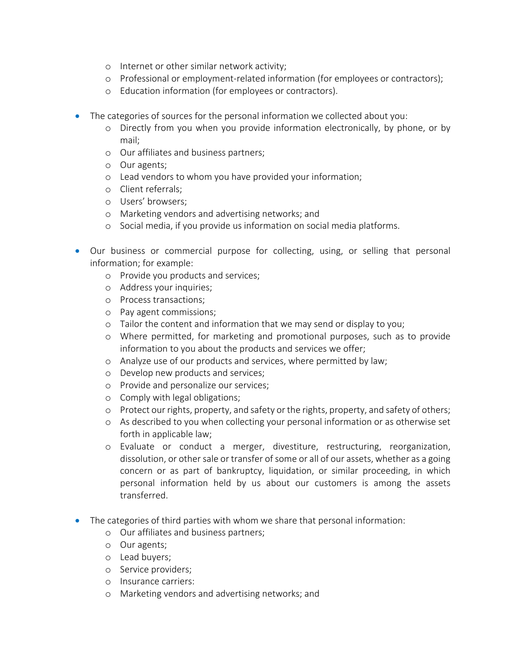- o Internet or other similar network activity;
- o Professional or employment-related information (for employees or contractors);
- o Education information (for employees or contractors).
- The categories of sources for the personal information we collected about you:
	- o Directly from you when you provide information electronically, by phone, or by mail;
	- o Our affiliates and business partners;
	- o Our agents;
	- o Lead vendors to whom you have provided your information;
	- o Client referrals;
	- o Users' browsers;
	- o Marketing vendors and advertising networks; and
	- o Social media, if you provide us information on social media platforms.
- Our business or commercial purpose for collecting, using, or selling that personal information; for example:
	- o Provide you products and services;
	- o Address your inquiries;
	- o Process transactions;
	- o Pay agent commissions;
	- o Tailor the content and information that we may send or display to you;
	- o Where permitted, for marketing and promotional purposes, such as to provide information to you about the products and services we offer;
	- o Analyze use of our products and services, where permitted by law;
	- o Develop new products and services;
	- o Provide and personalize our services;
	- o Comply with legal obligations;
	- o Protect our rights, property, and safety or the rights, property, and safety of others;
	- o As described to you when collecting your personal information or as otherwise set forth in applicable law;
	- o Evaluate or conduct a merger, divestiture, restructuring, reorganization, dissolution, or other sale or transfer of some or all of our assets, whether as a going concern or as part of bankruptcy, liquidation, or similar proceeding, in which personal information held by us about our customers is among the assets transferred.
- The categories of third parties with whom we share that personal information:
	- o Our affiliates and business partners;
	- o Our agents;
	- o Lead buyers;
	- o Service providers;
	- o Insurance carriers:
	- o Marketing vendors and advertising networks; and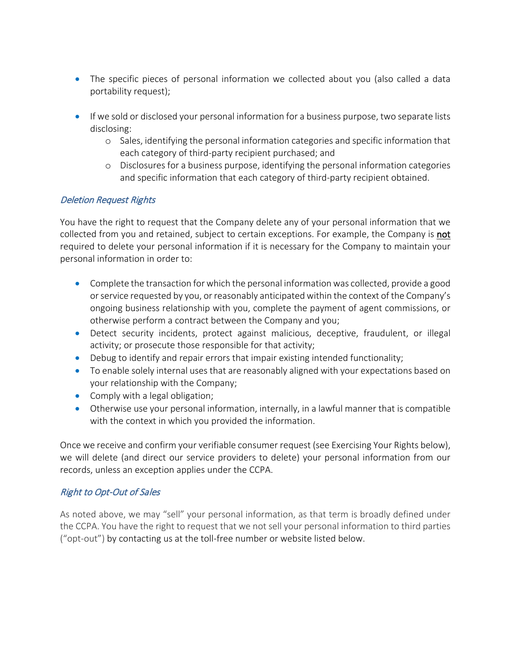- The specific pieces of personal information we collected about you (also called a data portability request);
- If we sold or disclosed your personal information for a business purpose, two separate lists disclosing:
	- o Sales, identifying the personal information categories and specific information that each category of third-party recipient purchased; and
	- o Disclosures for a business purpose, identifying the personal information categories and specific information that each category of third-party recipient obtained.

#### Deletion Request Rights

You have the right to request that the Company delete any of your personal information that we collected from you and retained, subject to certain exceptions. For example, the Company is not required to delete your personal information if it is necessary for the Company to maintain your personal information in order to:

- Complete the transaction for which the personal information was collected, provide a good or service requested by you, or reasonably anticipated within the context of the Company's ongoing business relationship with you, complete the payment of agent commissions, or otherwise perform a contract between the Company and you;
- Detect security incidents, protect against malicious, deceptive, fraudulent, or illegal activity; or prosecute those responsible for that activity;
- Debug to identify and repair errors that impair existing intended functionality;
- To enable solely internal uses that are reasonably aligned with your expectations based on your relationship with the Company;
- Comply with a legal obligation;
- Otherwise use your personal information, internally, in a lawful manner that is compatible with the context in which you provided the information.

Once we receive and confirm your verifiable consumer request (see Exercising Your Rights below), we will delete (and direct our service providers to delete) your personal information from our records, unless an exception applies under the CCPA.

#### Right to Opt-Out of Sales

As noted above, we may "sell" your personal information, as that term is broadly defined under the CCPA. You have the right to request that we not sell your personal information to third parties ("opt-out") by contacting us at the toll-free number or website listed below.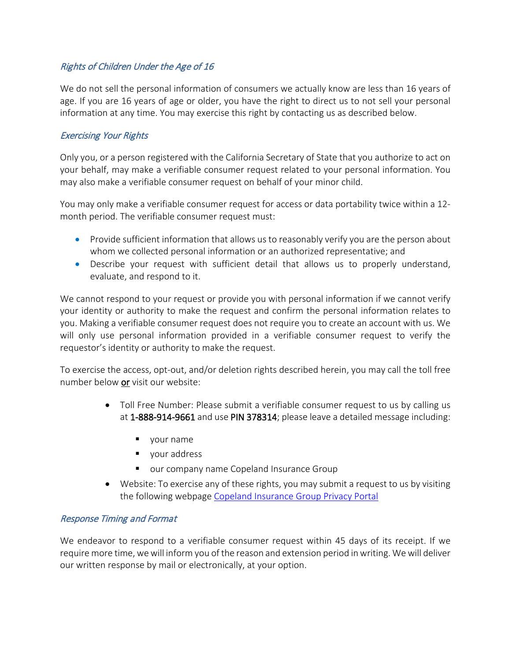#### Rights of Children Under the Age of 16

We do not sell the personal information of consumers we actually know are less than 16 years of age. If you are 16 years of age or older, you have the right to direct us to not sell your personal information at any time. You may exercise this right by contacting us as described below.

#### Exercising Your Rights

Only you, or a person registered with the California Secretary of State that you authorize to act on your behalf, may make a verifiable consumer request related to your personal information. You may also make a verifiable consumer request on behalf of your minor child.

You may only make a verifiable consumer request for access or data portability twice within a 12 month period. The verifiable consumer request must:

- Provide sufficient information that allows us to reasonably verify you are the person about whom we collected personal information or an authorized representative; and
- Describe your request with sufficient detail that allows us to properly understand, evaluate, and respond to it.

We cannot respond to your request or provide you with personal information if we cannot verify your identity or authority to make the request and confirm the personal information relates to you. Making a verifiable consumer request does not require you to create an account with us. We will only use personal information provided in a verifiable consumer request to verify the requestor's identity or authority to make the request.

To exercise the access, opt-out, and/or deletion rights described herein, you may call the toll free number below or visit our website:

- Toll Free Number: Please submit a verifiable consumer request to us by calling us at 1-888-914-9661 and use PIN 378314; please leave a detailed message including:
	- vour name
	- vour address
	- **U.** our company name Copeland Insurance Group
- Website: To exercise any of these rights, you may submit a request to us by visiting the following webpage [Copeland Insurance Group Privacy Portal](https://privacyportal.onetrust.com/webform/ee1cd67a-fc19-4a8a-a048-465b10a9fefd/15522bf7-d68c-4f6e-ad56-340ffa0f1af1)

#### Response Timing and Format

We endeavor to respond to a verifiable consumer request within 45 days of its receipt. If we require more time, we will inform you of the reason and extension period in writing. We will deliver our written response by mail or electronically, at your option.